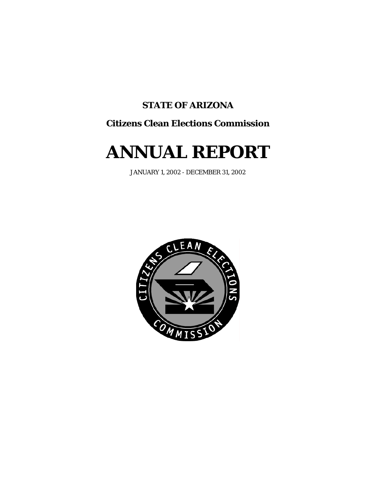# **STATE OF ARIZONA**

# **Citizens Clean Elections Commission**

# **ANNUAL REPORT**

JANUARY 1, 2002 - DECEMBER 31, 2002

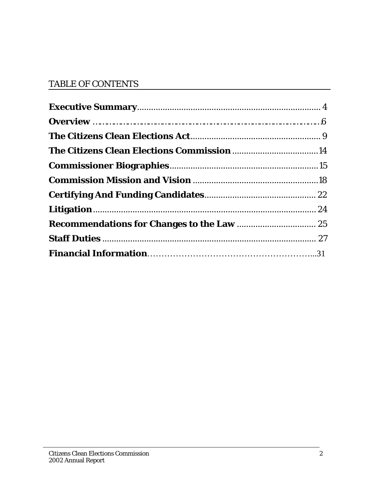# TABLE OF CONTENTS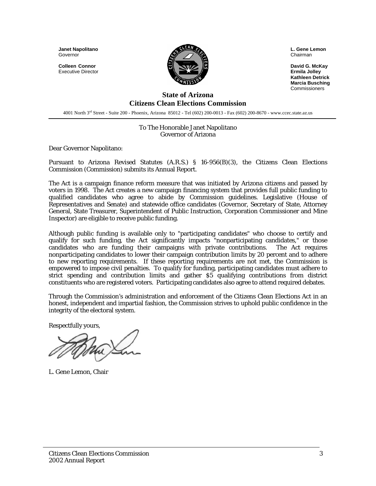**Janet Napolitano**  Governor

**Colleen Connor**  Executive Director



**L. Gene Lemon**  Chairman

**David G. McKay Ermila Jolley Kathleen Detrick Marcia Busching Commissioners** 

#### **State of Arizona Citizens Clean Elections Commission**

4001 North 3rd Street - Suite 200 - Phoenix, Arizona 85012 - Tel (602) 200-0013 - Fax (602) 200-8670 - www.ccec.state.az.us

#### To The Honorable Janet Napolitano Governor of Arizona

Dear Governor Napolitano:

Pursuant to Arizona Revised Statutes (A.R.S.) § 16-956(B)(3), the Citizens Clean Elections Commission (Commission) submits its Annual Report.

The Act is a campaign finance reform measure that was initiated by Arizona citizens and passed by voters in 1998. The Act creates a new campaign financing system that provides full public funding to qualified candidates who agree to abide by Commission guidelines. Legislative (House of Representatives and Senate) and statewide office candidates (Governor, Secretary of State, Attorney General, State Treasurer, Superintendent of Public Instruction, Corporation Commissioner and Mine Inspector) are eligible to receive public funding.

Although public funding is available only to "participating candidates" who choose to certify and qualify for such funding, the Act significantly impacts "nonparticipating candidates," or those candidates who are funding their campaigns with private contributions. The Act requires nonparticipating candidates to lower their campaign contribution limits by 20 percent and to adhere to new reporting requirements. If these reporting requirements are not met, the Commission is empowered to impose civil penalties. To qualify for funding, participating candidates must adhere to strict spending and contribution limits and gather \$5 qualifying contributions from district constituents who are registered voters. Participating candidates also agree to attend required debates.

Through the Commission's administration and enforcement of the Citizens Clean Elections Act in an honest, independent and impartial fashion, the Commission strives to uphold public confidence in the integrity of the electoral system.

Respectfully yours,

L. Gene Lemon, Chair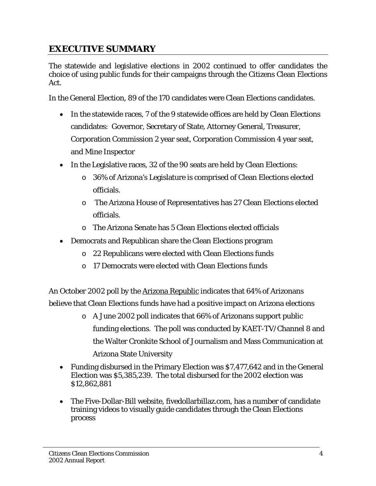# **EXECUTIVE SUMMARY**

The statewide and legislative elections in 2002 continued to offer candidates the choice of using public funds for their campaigns through the Citizens Clean Elections Act.

In the General Election, 89 of the 170 candidates were Clean Elections candidates.

- In the statewide races, 7 of the 9 statewide offices are held by Clean Elections candidates: Governor, Secretary of State, Attorney General, Treasurer, Corporation Commission 2 year seat, Corporation Commission 4 year seat, and Mine Inspector
- In the Legislative races, 32 of the 90 seats are held by Clean Elections:
	- o 36% of Arizona's Legislature is comprised of Clean Elections elected officials.
	- o The Arizona House of Representatives has 27 Clean Elections elected officials.
	- o The Arizona Senate has 5 Clean Elections elected officials
- Democrats and Republican share the Clean Elections program
	- o 22 Republicans were elected with Clean Elections funds
	- o 17 Democrats were elected with Clean Elections funds

An October 2002 poll by the Arizona Republic indicates that 64% of Arizonans believe that Clean Elections funds have had a positive impact on Arizona elections

- o A June 2002 poll indicates that 66% of Arizonans support public funding elections. The poll was conducted by KAET-TV/Channel 8 and the Walter Cronkite School of Journalism and Mass Communication at Arizona State University
- Funding disbursed in the Primary Election was \$7,477,642 and in the General Election was \$5,385,239. The total disbursed for the 2002 election was \$12,862,881
- The Five-Dollar-Bill website, fivedollarbillaz.com, has a number of candidate training videos to visually guide candidates through the Clean Elections process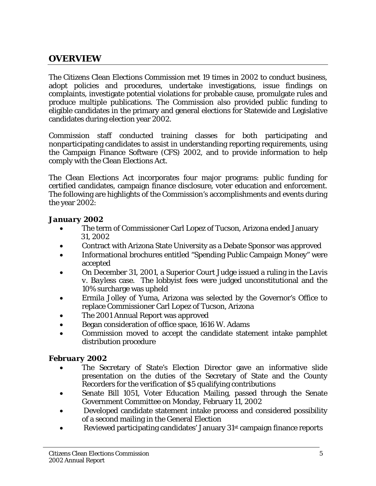# **OVERVIEW**

The Citizens Clean Elections Commission met 19 times in 2002 to conduct business, adopt policies and procedures, undertake investigations, issue findings on complaints, investigate potential violations for probable cause, promulgate rules and produce multiple publications. The Commission also provided public funding to eligible candidates in the primary and general elections for Statewide and Legislative candidates during election year 2002.

Commission staff conducted training classes for both participating and nonparticipating candidates to assist in understanding reporting requirements, using the Campaign Finance Software (CFS) 2002, and to provide information to help comply with the Clean Elections Act.

The Clean Elections Act incorporates four major programs: public funding for certified candidates, campaign finance disclosure, voter education and enforcement. The following are highlights of the Commission's accomplishments and events during the year 2002:

#### *January 2002*

- The term of Commissioner Carl Lopez of Tucson, Arizona ended January 31, 2002
- Contract with Arizona State University as a Debate Sponsor was approved
- Informational brochures entitled "Spending Public Campaign Money" were accepted
- On December 31, 2001, a Superior Court Judge issued a ruling in the *Lavis v. Bayless* case. The lobbyist fees were judged unconstitutional and the 10% surcharge was upheld
- Ermila Jolley of Yuma, Arizona was selected by the Governor's Office to replace Commissioner Carl Lopez of Tucson, Arizona
- The 2001 Annual Report was approved
- Began consideration of office space, 1616 W. Adams
- Commission moved to accept the candidate statement intake pamphlet distribution procedure

## *February 2002*

- The Secretary of State's Election Director gave an informative slide presentation on the duties of the Secretary of State and the County Recorders for the verification of \$5 qualifying contributions
- Senate Bill 1051, Voter Education Mailing, passed through the Senate Government Committee on Monday, February 11, 2002
- Developed candidate statement intake process and considered possibility of a second mailing in the General Election
- Reviewed participating candidates' January 31st campaign finance reports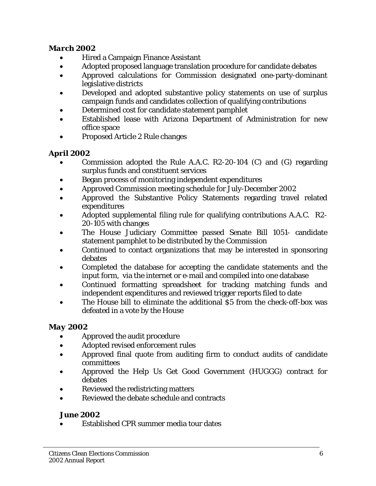## *March 2002*

- Hired a Campaign Finance Assistant
- Adopted proposed language translation procedure for candidate debates
- Approved calculations for Commission designated one-party-dominant legislative districts
- Developed and adopted substantive policy statements on use of surplus campaign funds and candidates collection of qualifying contributions
- Determined cost for candidate statement pamphlet
- Established lease with Arizona Department of Administration for new office space
- Proposed Article 2 Rule changes

# *April 2002*

- Commission adopted the Rule A.A.C. R2-20-104 (C) and (G) regarding surplus funds and constituent services
- Began process of monitoring independent expenditures
- Approved Commission meeting schedule for July-December 2002
- Approved the Substantive Policy Statements regarding travel related expenditures
- Adopted supplemental filing rule for qualifying contributions A.A.C. R2- 20-105 with changes
- The House Judiciary Committee passed Senate Bill 1051- candidate statement pamphlet to be distributed by the Commission
- Continued to contact organizations that may be interested in sponsoring debates
- Completed the database for accepting the candidate statements and the input form, via the internet or e-mail and compiled into one database
- Continued formatting spreadsheet for tracking matching funds and independent expenditures and reviewed trigger reports filed to date
- The House bill to eliminate the additional \$5 from the check-off-box was defeated in a vote by the House

# *May 2002*

- Approved the audit procedure
- Adopted revised enforcement rules
- Approved final quote from auditing firm to conduct audits of candidate committees
- Approved the Help Us Get Good Government (HUGGG) contract for debates
- Reviewed the redistricting matters
- Reviewed the debate schedule and contracts

# *June 2002*

• Established CPR summer media tour dates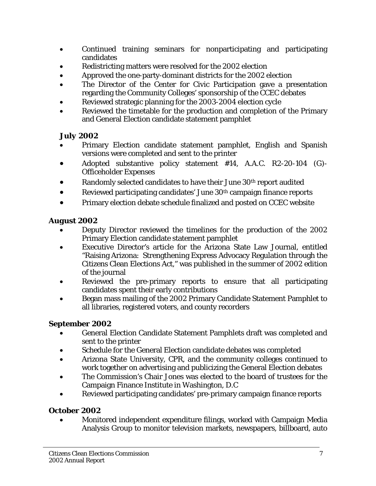- Continued training seminars for nonparticipating and participating candidates
- Redistricting matters were resolved for the 2002 election
- Approved the one-party-dominant districts for the 2002 election
- The Director of the Center for Civic Participation gave a presentation regarding the Community Colleges' sponsorship of the CCEC debates
- Reviewed strategic planning for the 2003-2004 election cycle
- Reviewed the timetable for the production and completion of the Primary and General Election candidate statement pamphlet

# *July 2002*

- Primary Election candidate statement pamphlet, English and Spanish versions were completed and sent to the printer
- Adopted substantive policy statement #14, A.A.C. R2-20-104 (G)- Officeholder Expenses
- Randomly selected candidates to have their June 30th report audited
- Reviewed participating candidates' June 30<sup>th</sup> campaign finance reports
- Primary election debate schedule finalized and posted on CCEC website

# *August 2002*

- Deputy Director reviewed the timelines for the production of the 2002 Primary Election candidate statement pamphlet
- Executive Director's article for the Arizona State Law Journal, entitled "Raising Arizona: Strengthening Express Advocacy Regulation through the Citizens Clean Elections Act," was published in the summer of 2002 edition of the journal
- Reviewed the pre-primary reports to ensure that all participating candidates spent their early contributions
- Began mass mailing of the 2002 Primary Candidate Statement Pamphlet to all libraries, registered voters, and county recorders

# *September 2002*

- General Election Candidate Statement Pamphlets draft was completed and sent to the printer
- Schedule for the General Election candidate debates was completed
- Arizona State University, CPR, and the community colleges continued to work together on advertising and publicizing the General Election debates
- The Commission's Chair Jones was elected to the board of trustees for the Campaign Finance Institute in Washington, D.C
- Reviewed participating candidates' pre-primary campaign finance reports

# *October 2002*

• Monitored independent expenditure filings, worked with Campaign Media Analysis Group to monitor television markets, newspapers, billboard, auto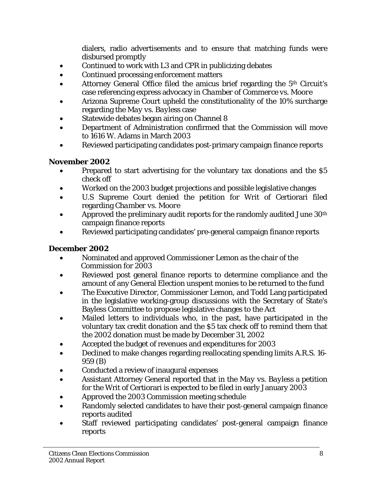dialers, radio advertisements and to ensure that matching funds were disbursed promptly

- Continued to work with L3 and CPR in publicizing debates
- Continued processing enforcement matters
- Attorney General Office filed the amicus brief regarding the 5<sup>th</sup> Circuit's case referencing express advocacy in *Chamber of Commerce vs. Moore*
- Arizona Supreme Court upheld the constitutionality of the 10% surcharge regarding the *May vs. Bayless* case
- Statewide debates began airing on Channel 8
- Department of Administration confirmed that the Commission will move to 1616 W. Adams in March 2003
- Reviewed participating candidates post-primary campaign finance reports

# **November 2002**

- Prepared to start advertising for the voluntary tax donations and the \$5 check off
- Worked on the 2003 budget projections and possible legislative changes
- U.S Supreme Court denied the petition for Writ of Certiorari filed regarding *Chamber vs. Moore*
- Approved the preliminary audit reports for the randomly audited June 30<sup>th</sup> campaign finance reports
- Reviewed participating candidates' pre-general campaign finance reports

## *December 2002*

- Nominated and approved Commissioner Lemon as the chair of the Commission for 2003
- Reviewed post general finance reports to determine compliance and the amount of any General Election unspent monies to be returned to the fund
- The Executive Director, Commissioner Lemon, and Todd Lang participated in the legislative working-group discussions with the Secretary of State's Bayless Committee to propose legislative changes to the Act
- Mailed letters to individuals who, in the past, have participated in the voluntary tax credit donation and the \$5 tax check off to remind them that the 2002 donation must be made by December 31, 2002
- Accepted the budget of revenues and expenditures for 2003
- Declined to make changes regarding reallocating spending limits A.R.S. 16- 959 (B)
- Conducted a review of inaugural expenses
- Assistant Attorney General reported that in the *May vs. Bayless* a petition for the Writ of Certiorari is expected to be filed in early January 2003
- Approved the 2003 Commission meeting schedule
- Randomly selected candidates to have their post-general campaign finance reports audited
- Staff reviewed participating candidates' post-general campaign finance reports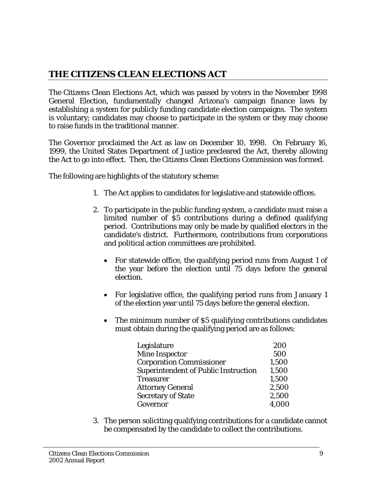# **THE CITIZENS CLEAN ELECTIONS ACT**

The Citizens Clean Elections Act, which was passed by voters in the November 1998 General Election, fundamentally changed Arizona's campaign finance laws by establishing a system for publicly funding candidate election campaigns. The system is voluntary; candidates may choose to participate in the system or they may choose to raise funds in the traditional manner.

The Governor proclaimed the Act as law on December 10, 1998. On February 16, 1999, the United States Department of Justice precleared the Act, thereby allowing the Act to go into effect. Then, the Citizens Clean Elections Commission was formed.

The following are highlights of the statutory scheme:

- 1. The Act applies to candidates for legislative and statewide offices.
- 2. To participate in the public funding system, a candidate must raise a limited number of \$5 contributions during a defined qualifying period. Contributions may only be made by qualified electors in the candidate's district. Furthermore, contributions from corporations and political action committees are prohibited.
	- For statewide office, the qualifying period runs from August 1 of the year before the election until 75 days before the general election.
	- For legislative office, the qualifying period runs from January 1 of the election year until 75 days before the general election.
	- The minimum number of \$5 qualifying contributions candidates must obtain during the qualifying period are as follows:

| Legislature                                 | 200   |
|---------------------------------------------|-------|
| <b>Mine Inspector</b>                       | 500   |
| <b>Corporation Commissioner</b>             | 1,500 |
| <b>Superintendent of Public Instruction</b> | 1,500 |
| <b>Treasurer</b>                            | 1,500 |
| <b>Attorney General</b>                     | 2,500 |
| <b>Secretary of State</b>                   | 2,500 |
| Governor                                    | 4,000 |

3. The person soliciting qualifying contributions for a candidate cannot be compensated by the candidate to collect the contributions.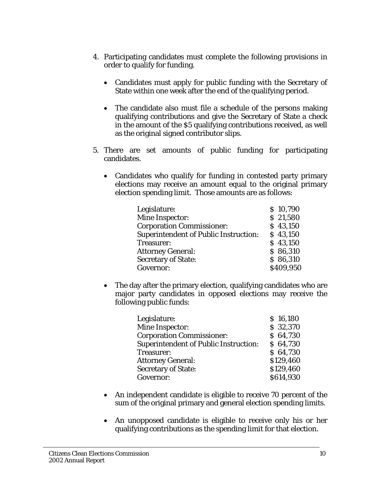- 4. Participating candidates must complete the following provisions in order to qualify for funding.
	- Candidates must apply for public funding with the Secretary of State within one week after the end of the qualifying period.
	- The candidate also must file a schedule of the persons making qualifying contributions and give the Secretary of State a check in the amount of the \$5 qualifying contributions received, as well as the original signed contributor slips.
- 5. There are set amounts of public funding for participating candidates.
	- Candidates who qualify for funding in contested party primary elections may receive an amount equal to the original primary election spending limit. Those amounts are as follows:

| Legislature:                                 | \$10,790  |
|----------------------------------------------|-----------|
| <b>Mine Inspector:</b>                       | \$21,580  |
| <b>Corporation Commissioner:</b>             | \$43,150  |
| <b>Superintendent of Public Instruction:</b> | \$43,150  |
| Treasurer:                                   | \$43,150  |
| <b>Attorney General:</b>                     | \$86,310  |
| <b>Secretary of State:</b>                   | \$86,310  |
| Governor:                                    | \$409,950 |

• The day after the primary election, qualifying candidates who are major party candidates in opposed elections may receive the following public funds:

| Legislature:                                 | \$16,180  |
|----------------------------------------------|-----------|
| Mine Inspector:                              | \$32,370  |
| <b>Corporation Commissioner:</b>             | \$64,730  |
| <b>Superintendent of Public Instruction:</b> | \$64,730  |
| Treasurer:                                   | \$64,730  |
| <b>Attorney General:</b>                     | \$129,460 |
| <b>Secretary of State:</b>                   | \$129,460 |
| Governor:                                    | \$614,930 |

- An independent candidate is eligible to receive 70 percent of the sum of the original primary and general election spending limits.
- An unopposed candidate is eligible to receive only his or her qualifying contributions as the spending limit for that election.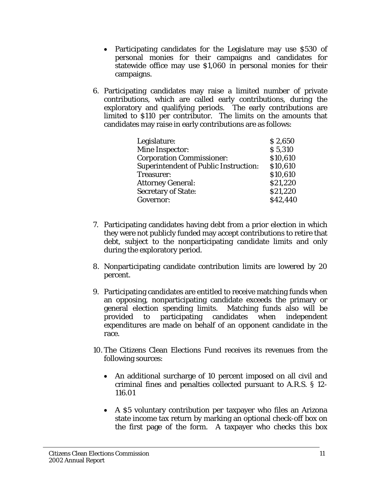- Participating candidates for the Legislature may use \$530 of personal monies for their campaigns and candidates for statewide office may use \$1,060 in personal monies for their campaigns.
- 6. Participating candidates may raise a limited number of private contributions, which are called early contributions, during the exploratory and qualifying periods. The early contributions are limited to \$110 per contributor. The limits on the amounts that candidates may raise in early contributions are as follows:

| Legislature:                                 | \$2,650  |
|----------------------------------------------|----------|
|                                              |          |
| <b>Mine Inspector:</b>                       | \$5,310  |
| <b>Corporation Commissioner:</b>             | \$10,610 |
| <b>Superintendent of Public Instruction:</b> | \$10,610 |
| Treasurer:                                   | \$10,610 |
| <b>Attorney General:</b>                     | \$21,220 |
| <b>Secretary of State:</b>                   | \$21,220 |
| Governor:                                    | \$42,440 |

- 7. Participating candidates having debt from a prior election in which they were not publicly funded may accept contributions to retire that debt, subject to the nonparticipating candidate limits and only during the exploratory period.
- 8. Nonparticipating candidate contribution limits are lowered by 20 percent.
- 9. Participating candidates are entitled to receive matching funds when an opposing, nonparticipating candidate exceeds the primary or general election spending limits. Matching funds also will be provided to participating candidates when independent expenditures are made on behalf of an opponent candidate in the race.
- 10. The Citizens Clean Elections Fund receives its revenues from the following sources:
	- An additional surcharge of 10 percent imposed on all civil and criminal fines and penalties collected pursuant to A.R.S. § 12- 116.01
	- A \$5 voluntary contribution per taxpayer who files an Arizona state income tax return by marking an optional check-off box on the first page of the form. A taxpayer who checks this box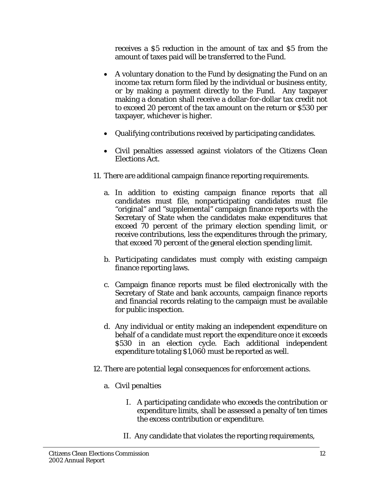receives a \$5 reduction in the amount of tax and \$5 from the amount of taxes paid will be transferred to the Fund.

- A voluntary donation to the Fund by designating the Fund on an income tax return form filed by the individual or business entity, or by making a payment directly to the Fund. Any taxpayer making a donation shall receive a dollar-for-dollar tax credit not to exceed 20 percent of the tax amount on the return or \$530 per taxpayer, whichever is higher.
- Qualifying contributions received by participating candidates.
- Civil penalties assessed against violators of the Citizens Clean Elections Act.
- 11. There are additional campaign finance reporting requirements.
	- a. In addition to existing campaign finance reports that all candidates must file, nonparticipating candidates must file "original" and "supplemental" campaign finance reports with the Secretary of State when the candidates make expenditures that exceed 70 percent of the primary election spending limit, or receive contributions, less the expenditures through the primary, that exceed 70 percent of the general election spending limit.
	- b. Participating candidates must comply with existing campaign finance reporting laws.
	- c. Campaign finance reports must be filed electronically with the Secretary of State and bank accounts, campaign finance reports and financial records relating to the campaign must be available for public inspection.
	- d. Any individual or entity making an independent expenditure on behalf of a candidate must report the expenditure once it exceeds \$530 in an election cycle. Each additional independent expenditure totaling \$1,060 must be reported as well.
- 12. There are potential legal consequences for enforcement actions.
	- a. Civil penalties
		- I. A participating candidate who exceeds the contribution or expenditure limits, shall be assessed a penalty of ten times the excess contribution or expenditure.
		- II. Any candidate that violates the reporting requirements,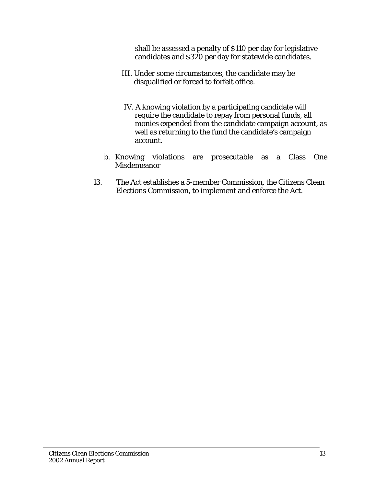shall be assessed a penalty of \$110 per day for legislative candidates and \$320 per day for statewide candidates.

- III. Under some circumstances, the candidate may be disqualified or forced to forfeit office.
- IV. A knowing violation by a participating candidate will require the candidate to repay from personal funds, all monies expended from the candidate campaign account, as well as returning to the fund the candidate's campaign account.
- b. Knowing violations are prosecutable as a Class One Misdemeanor
- 13. The Act establishes a 5-member Commission, the Citizens Clean Elections Commission, to implement and enforce the Act.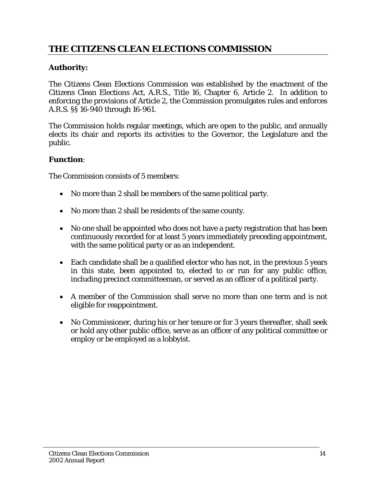# **THE CITIZENS CLEAN ELECTIONS COMMISSION**

# **Authority:**

The Citizens Clean Elections Commission was established by the enactment of the Citizens Clean Elections Act, A.R.S., Title 16, Chapter 6, Article 2. In addition to enforcing the provisions of Article 2, the Commission promulgates rules and enforces A.R.S. §§ 16-940 through 16-961.

The Commission holds regular meetings, which are open to the public, and annually elects its chair and reports its activities to the Governor, the Legislature and the public.

#### **Function**:

The Commission consists of 5 members:

- No more than 2 shall be members of the same political party.
- No more than 2 shall be residents of the same county.
- No one shall be appointed who does not have a party registration that has been continuously recorded for at least 5 years immediately preceding appointment, with the same political party or as an independent.
- Each candidate shall be a qualified elector who has not, in the previous 5 years in this state, been appointed to, elected to or run for any public office, including precinct committeeman, or served as an officer of a political party.
- A member of the Commission shall serve no more than one term and is not eligible for reappointment.
- No Commissioner, during his or her tenure or for 3 years thereafter, shall seek or hold any other public office, serve as an officer of any political committee or employ or be employed as a lobbyist.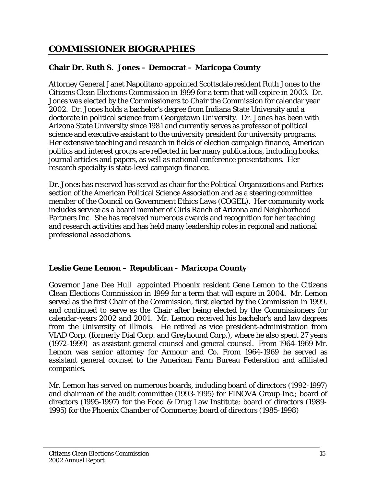# **COMMISSIONER BIOGRAPHIES**

## **Chair Dr. Ruth S. Jones – Democrat – Maricopa County**

Attorney General Janet Napolitano appointed Scottsdale resident Ruth Jones to the Citizens Clean Elections Commission in 1999 for a term that will expire in 2003. Dr. Jones was elected by the Commissioners to Chair the Commission for calendar year 2002. Dr. Jones holds a bachelor's degree from Indiana State University and a doctorate in political science from Georgetown University. Dr. Jones has been with Arizona State University since 1981 and currently serves as professor of political science and executive assistant to the university president for university programs. Her extensive teaching and research in fields of election campaign finance, American politics and interest groups are reflected in her many publications, including books, journal articles and papers, as well as national conference presentations. Her research specialty is state-level campaign finance.

Dr. Jones has reserved has served as chair for the Political Organizations and Parties section of the American Political Science Association and as a steering committee member of the Council on Government Ethics Laws (COGEL). Her community work includes service as a board member of Girls Ranch of Arizona and Neighborhood Partners Inc. She has received numerous awards and recognition for her teaching and research activities and has held many leadership roles in regional and national professional associations.

# **Leslie Gene Lemon – Republican - Maricopa County**

Governor Jane Dee Hull appointed Phoenix resident Gene Lemon to the Citizens Clean Elections Commission in 1999 for a term that will expire in 2004. Mr. Lemon served as the first Chair of the Commission, first elected by the Commission in 1999, and continued to serve as the Chair after being elected by the Commissioners for calendar-years 2002 and 2001. Mr. Lemon received his bachelor's and law degrees from the University of Illinois. He retired as vice president-administration from VIAD Corp. (formerly Dial Corp. and Greyhound Corp.), where he also spent 27 years (1972-1999) as assistant general counsel and general counsel. From 1964-1969 Mr. Lemon was senior attorney for Armour and Co. From 1964-1969 he served as assistant general counsel to the American Farm Bureau Federation and affiliated companies.

Mr. Lemon has served on numerous boards, including board of directors (1992-1997) and chairman of the audit committee (1993-1995) for FINOVA Group Inc.; board of directors (1995-1997) for the Food & Drug Law Institute; board of directors (1989- 1995) for the Phoenix Chamber of Commerce; board of directors (1985-1998)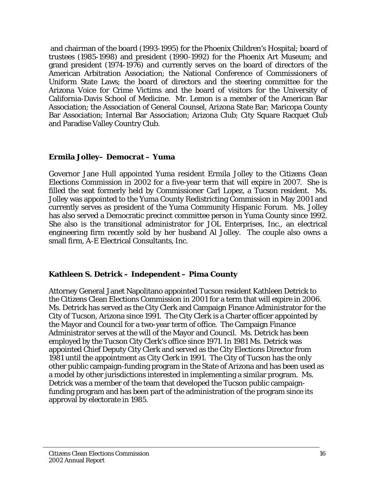and chairman of the board (1993-1995) for the Phoenix Children's Hospital; board of trustees (1985-1998) and president (1990-1992) for the Phoenix Art Museum; and grand president (1974-1976) and currently serves on the board of directors of the American Arbitration Association; the National Conference of Commissioners of Uniform State Laws; the board of directors and the steering committee for the Arizona Voice for Crime Victims and the board of visitors for the University of California-Davis School of Medicine. Mr. Lemon is a member of the American Bar Association; the Association of General Counsel, Arizona State Bar; Maricopa County Bar Association; Internal Bar Association; Arizona Club; City Square Racquet Club and Paradise Valley Country Club.

#### **Ermila Jolley– Democrat – Yuma**

Governor Jane Hull appointed Yuma resident Ermila Jolley to the Citizens Clean Elections Commission in 2002 for a five-year term that will expire in 2007. She is filled the seat formerly held by Commissioner Carl Lopez, a Tucson resident. Ms. Jolley was appointed to the Yuma County Redistricting Commission in May 2001 and currently serves as president of the Yuma Community Hispanic Forum. Ms. Jolley has also served a Democratic precinct committee person in Yuma County since 1992. She also is the transitional administrator for JOL Enterprises, Inc., an electrical engineering firm recently sold by her husband Al Jolley. The couple also owns a small firm, A-E Electrical Consultants, Inc.

## **Kathleen S. Detrick – Independent – Pima County**

Attorney General Janet Napolitano appointed Tucson resident Kathleen Detrick to the Citizens Clean Elections Commission in 2001 for a term that will expire in 2006. Ms. Detrick has served as the City Clerk and Campaign Finance Administrator for the City of Tucson, Arizona since 1991. The City Clerk is a Charter officer appointed by the Mayor and Council for a two-year term of office. The Campaign Finance Administrator serves at the will of the Mayor and Council. Ms. Detrick has been employed by the Tucson City Clerk's office since 1971. In 1981 Ms. Detrick was appointed Chief Deputy City Clerk and served as the City Elections Director from 1981 until the appointment as City Clerk in 1991. The City of Tucson has the only other public campaign-funding program in the State of Arizona and has been used as a model by other jurisdictions interested in implementing a similar program. Ms. Detrick was a member of the team that developed the Tucson public campaignfunding program and has been part of the administration of the program since its approval by electorate in 1985.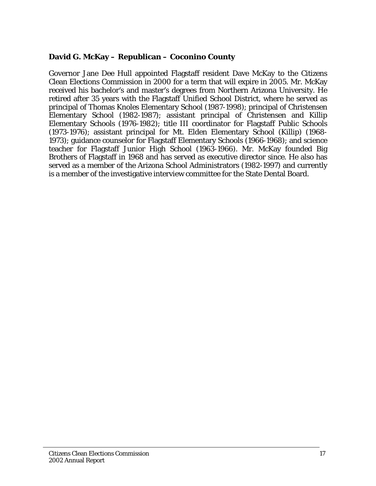## **David G. McKay – Republican – Coconino County**

Governor Jane Dee Hull appointed Flagstaff resident Dave McKay to the Citizens Clean Elections Commission in 2000 for a term that will expire in 2005. Mr. McKay received his bachelor's and master's degrees from Northern Arizona University. He retired after 35 years with the Flagstaff Unified School District, where he served as principal of Thomas Knoles Elementary School (1987-1998); principal of Christensen Elementary School (1982-1987); assistant principal of Christensen and Killip Elementary Schools (1976-1982); title III coordinator for Flagstaff Public Schools (1973-1976); assistant principal for Mt. Elden Elementary School (Killip) (1968- 1973); guidance counselor for Flagstaff Elementary Schools (1966-1968); and science teacher for Flagstaff Junior High School (1963-1966). Mr. McKay founded Big Brothers of Flagstaff in 1968 and has served as executive director since. He also has served as a member of the Arizona School Administrators (1982-1997) and currently is a member of the investigative interview committee for the State Dental Board.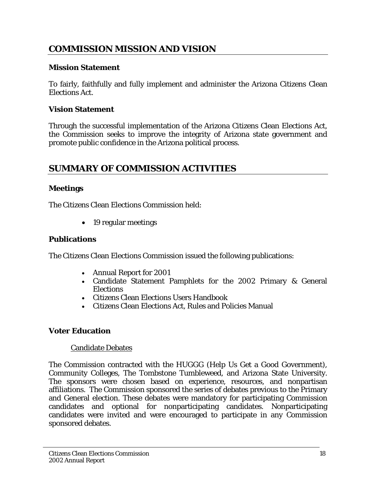# **COMMISSION MISSION AND VISION**

#### **Mission Statement**

To fairly, faithfully and fully implement and administer the Arizona Citizens Clean Elections Act.

#### **Vision Statement**

Through the successful implementation of the Arizona Citizens Clean Elections Act, the Commission seeks to improve the integrity of Arizona state government and promote public confidence in the Arizona political process.

# **SUMMARY OF COMMISSION ACTIVITIES**

#### **Meetings**

The Citizens Clean Elections Commission held:

• 19 regular meetings

#### **Publications**

The Citizens Clean Elections Commission issued the following publications:

- Annual Report for 2001
- Candidate Statement Pamphlets for the 2002 Primary & General Elections
- Citizens Clean Elections Users Handbook
- Citizens Clean Elections Act, Rules and Policies Manual

## **Voter Education**

#### Candidate Debates

The Commission contracted with the HUGGG (Help Us Get a Good Government), Community Colleges, The Tombstone Tumbleweed, and Arizona State University. The sponsors were chosen based on experience, resources, and nonpartisan affiliations. The Commission sponsored the series of debates previous to the Primary and General election. These debates were mandatory for participating Commission candidates and optional for nonparticipating candidates. Nonparticipating candidates were invited and were encouraged to participate in any Commission sponsored debates.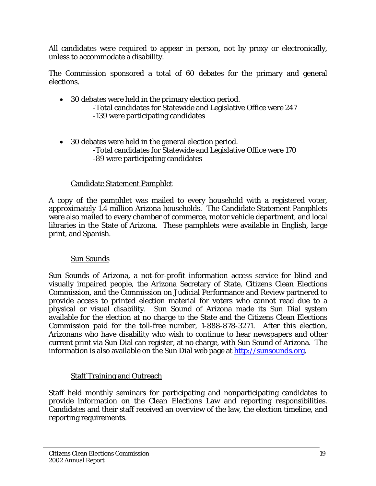All candidates were required to appear in person, not by proxy or electronically, unless to accommodate a disability.

The Commission sponsored a total of 60 debates for the primary and general elections.

- 30 debates were held in the primary election period. -Total candidates for Statewide and Legislative Office were 247 -139 were participating candidates
- 30 debates were held in the general election period. -Total candidates for Statewide and Legislative Office were 170 -89 were participating candidates

## Candidate Statement Pamphlet

A copy of the pamphlet was mailed to every household with a registered voter, approximately 1.4 million Arizona households. The Candidate Statement Pamphlets were also mailed to every chamber of commerce, motor vehicle department, and local libraries in the State of Arizona. These pamphlets were available in English, large print, and Spanish.

#### Sun Sounds

Sun Sounds of Arizona, a not-for-profit information access service for blind and visually impaired people, the Arizona Secretary of State, Citizens Clean Elections Commission, and the Commission on Judicial Performance and Review partnered to provide access to printed election material for voters who cannot read due to a physical or visual disability. Sun Sound of Arizona made its Sun Dial system available for the election at no charge to the State and the Citizens Clean Elections Commission paid for the toll-free number, 1-888-878-3271. After this election, Arizonans who have disability who wish to continue to hear newspapers and other current print via Sun Dial can register, at no charge, with Sun Sound of Arizona. The information is also available on the Sun Dial web page at http://sunsounds.org.

#### **Staff Training and Outreach**

Staff held monthly seminars for participating and nonparticipating candidates to provide information on the Clean Elections Law and reporting responsibilities. Candidates and their staff received an overview of the law, the election timeline, and reporting requirements.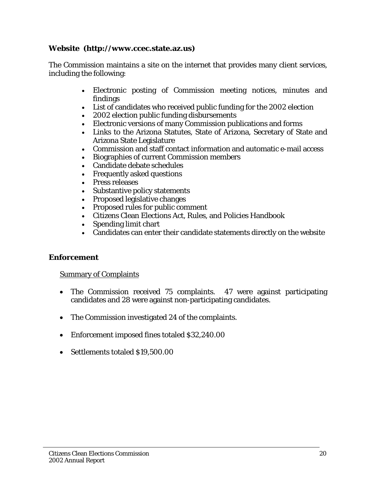#### **Website (http://www.ccec.state.az.us)**

The Commission maintains a site on the internet that provides many client services, including the following:

- Electronic posting of Commission meeting notices, minutes and findings
- List of candidates who received public funding for the 2002 election
- 2002 election public funding disbursements
- Electronic versions of many Commission publications and forms
- Links to the Arizona Statutes, State of Arizona, Secretary of State and Arizona State Legislature
- Commission and staff contact information and automatic e-mail access
- Biographies of current Commission members
- Candidate debate schedules
- Frequently asked questions
- Press releases
- Substantive policy statements
- Proposed legislative changes
- Proposed rules for public comment
- Citizens Clean Elections Act, Rules, and Policies Handbook
- Spending limit chart
- Candidates can enter their candidate statements directly on the website

#### **Enforcement**

#### Summary of Complaints

- The Commission received 75 complaints. 47 were against participating candidates and 28 were against non-participating candidates.
- The Commission investigated 24 of the complaints.
- Enforcement imposed fines totaled \$32,240.00
- Settlements totaled \$19,500.00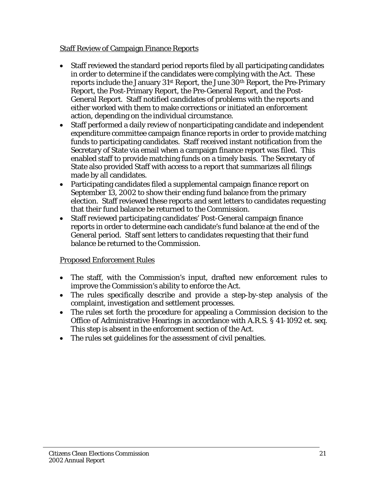#### Staff Review of Campaign Finance Reports

- Staff reviewed the standard period reports filed by all participating candidates in order to determine if the candidates were complying with the Act. These reports include the January 31st Report, the June 30th Report, the Pre-Primary Report, the Post-Primary Report, the Pre-General Report, and the Post-General Report. Staff notified candidates of problems with the reports and either worked with them to make corrections or initiated an enforcement action, depending on the individual circumstance.
- Staff performed a daily review of nonparticipating candidate and independent expenditure committee campaign finance reports in order to provide matching funds to participating candidates. Staff received instant notification from the Secretary of State via email when a campaign finance report was filed. This enabled staff to provide matching funds on a timely basis. The Secretary of State also provided Staff with access to a report that summarizes all filings made by all candidates.
- Participating candidates filed a supplemental campaign finance report on September 13, 2002 to show their ending fund balance from the primary election. Staff reviewed these reports and sent letters to candidates requesting that their fund balance be returned to the Commission.
- Staff reviewed participating candidates' Post-General campaign finance reports in order to determine each candidate's fund balance at the end of the General period. Staff sent letters to candidates requesting that their fund balance be returned to the Commission.

## Proposed Enforcement Rules

- The staff, with the Commission's input, drafted new enforcement rules to improve the Commission's ability to enforce the Act.
- The rules specifically describe and provide a step-by-step analysis of the complaint, investigation and settlement processes.
- The rules set forth the procedure for appealing a Commission decision to the Office of Administrative Hearings in accordance with A.R.S. § 41-1092 et. seq. This step is absent in the enforcement section of the Act.
- The rules set guidelines for the assessment of civil penalties.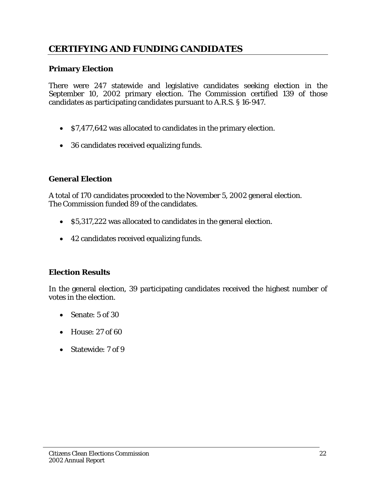# **CERTIFYING AND FUNDING CANDIDATES**

#### **Primary Election**

There were 247 statewide and legislative candidates seeking election in the September 10, 2002 primary election. The Commission certified 139 of those candidates as participating candidates pursuant to A.R.S. § 16-947.

- \$7,477,642 was allocated to candidates in the primary election.
- 36 candidates received equalizing funds.

#### **General Election**

A total of 170 candidates proceeded to the November 5, 2002 general election. The Commission funded 89 of the candidates.

- \$5,317,222 was allocated to candidates in the general election.
- 42 candidates received equalizing funds.

#### **Election Results**

In the general election, 39 participating candidates received the highest number of votes in the election.

- Senate: 5 of 30
- House: 27 of 60
- Statewide: 7 of 9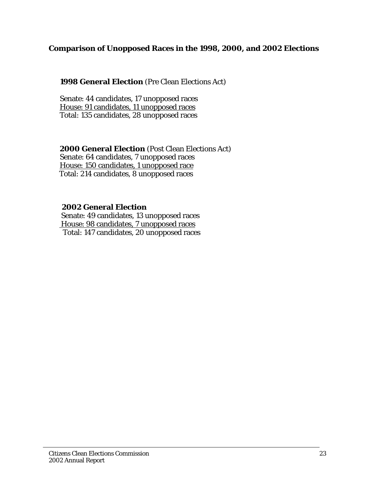#### **Comparison of Unopposed Races in the 1998, 2000, and 2002 Elections**

#### **1998 General Election** (Pre Clean Elections Act)

Senate: 44 candidates, 17 unopposed races House: 91 candidates, 11 unopposed races Total: 135 candidates, 28 unopposed races

# **2000 General Election** (Post Clean Elections Act)

Senate: 64 candidates, 7 unopposed races House: 150 candidates, 1 unopposed race Total: 214 candidates, 8 unopposed races

#### **2002 General Election**

 Senate: 49 candidates, 13 unopposed races House: 98 candidates, 7 unopposed races Total: 147 candidates, 20 unopposed races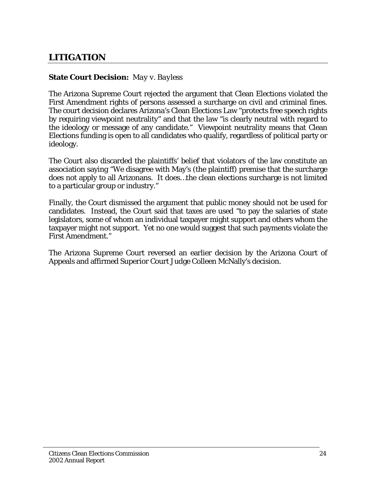# **LITIGATION**

#### **State Court Decision:** *May v. Bayless*

The Arizona Supreme Court rejected the argument that Clean Elections violated the First Amendment rights of persons assessed a surcharge on civil and criminal fines. The court decision declares Arizona's Clean Elections Law "protects free speech rights by requiring viewpoint neutrality" and that the law "is clearly neutral with regard to the ideology or message of any candidate." Viewpoint neutrality means that Clean Elections funding is open to all candidates who qualify, regardless of political party or ideology.

The Court also discarded the plaintiffs' belief that violators of the law constitute an association saying "We disagree with May's (the plaintiff) premise that the surcharge does not apply to all Arizonans. It does…the clean elections surcharge is not limited to a particular group or industry."

Finally, the Court dismissed the argument that public money should not be used for candidates. Instead, the Court said that taxes are used "to pay the salaries of state legislators, some of whom an individual taxpayer might support and others whom the taxpayer might not support. Yet no one would suggest that such payments violate the First Amendment."

The Arizona Supreme Court reversed an earlier decision by the Arizona Court of Appeals and affirmed Superior Court Judge Colleen McNally's decision.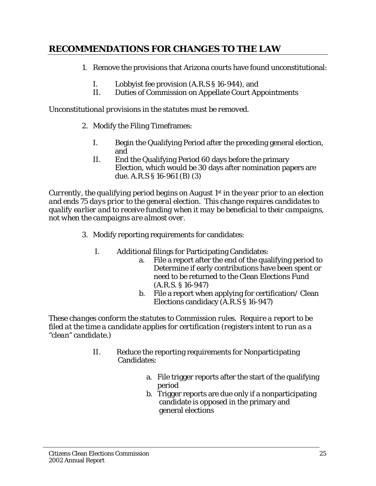# **RECOMMENDATIONS FOR CHANGES TO THE LAW**

- 1. Remove the provisions that Arizona courts have found unconstitutional:
	- I. Lobbyist fee provision (A.R.S § 16-944), and
	- II. Duties of Commission on Appellate Court Appointments

#### *Unconstitutional provisions in the statutes must be removed.*

- 2. Modify the Filing Timeframes:
	- I. Begin the Qualifying Period after the preceding general election, and
	- II. End the Qualifying Period 60 days before the primary Election, which would be 30 days after nomination papers are due. A.R.S § 16-961 (B) (3)

*Currently, the qualifying period begins on August 1st in the year prior to an election and ends 75 days prior to the general election. This change requires candidates to qualify earlier and to receive funding when it may be beneficial to their campaigns, not when the campaigns are almost over.* 

- 3. Modify reporting requirements for candidates:
	- I. Additional filings for Participating Candidates:
		- a. File a report after the end of the qualifying period to Determine if early contributions have been spent or need to be returned to the Clean Elections Fund (A.R.S. § 16-947)
		- b. File a report when applying for certification/ Clean Elections candidacy (A.R.S § 16-947)

*These changes conform the statutes to Commission rules. Require a report to be filed at the time a candidate applies for certification (registers intent to run as a "clean" candidate.)* 

- II. Reduce the reporting requirements for Nonparticipating Candidates:
	- a. File trigger reports after the start of the qualifying period
	- b. Trigger reports are due only if a nonparticipating candidate is opposed in the primary and general elections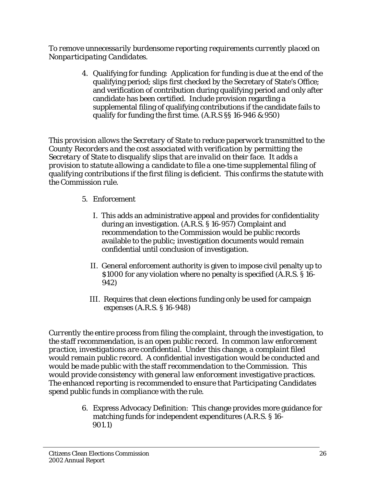*To remove unnecessarily burdensome reporting requirements currently placed on Nonparticipating Candidates.* 

> 4. Qualifying for funding: Application for funding is due at the end of the qualifying period; slips first checked by the Secretary of State's Office; and verification of contribution during qualifying period and only after candidate has been certified. Include provision regarding a supplemental filing of qualifying contributions if the candidate fails to qualify for funding the first time. (A.R.S §§ 16-946 & 950)

*This provision allows the Secretary of State to reduce paperwork transmitted to the County Recorders and the cost associated with verification by permitting the Secretary of State to disqualify slips that are invalid on their face. It adds a provision to statute allowing a candidate to file a one-time supplemental filing of qualifying contributions if the first filing is deficient. This confirms the statute with the Commission rule.* 

- 5. Enforcement
	- I. This adds an administrative appeal and provides for confidentiality during an investigation. (A.R.S. § 16-957) Complaint and recommendation to the Commission would be public records available to the public; investigation documents would remain confidential until conclusion of investigation.
	- II. General enforcement authority is given to impose civil penalty up to \$1000 for any violation where no penalty is specified (A.R.S. § 16- 942)
	- III. Requires that clean elections funding only be used for campaign expenses (A.R.S. § 16-948)

*Currently the entire process from filing the complaint, through the investigation, to the staff recommendation, is an open public record. In common law enforcement practice, investigations are confidential. Under this change, a complaint filed would remain public record. A confidential investigation would be conducted and would be made public with the staff recommendation to the Commission. This would provide consistency with general law enforcement investigative practices. The enhanced reporting is recommended to ensure that Participating Candidates spend public funds in compliance with the rule.* 

> 6. Express Advocacy Definition: This change provides more guidance for matching funds for independent expenditures (A.R.S. § 16-  *901.1)*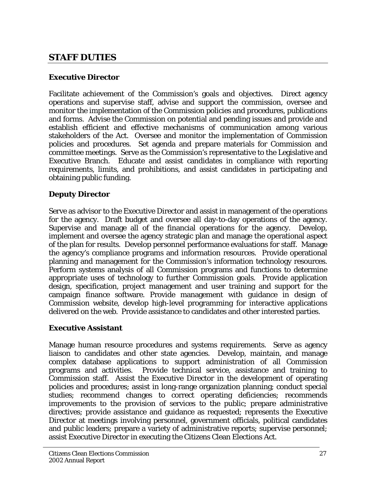# **STAFF DUTIES**

#### **Executive Director**

Facilitate achievement of the Commission's goals and objectives. Direct agency operations and supervise staff, advise and support the commission, oversee and monitor the implementation of the Commission policies and procedures, publications and forms. Advise the Commission on potential and pending issues and provide and establish efficient and effective mechanisms of communication among various stakeholders of the Act. Oversee and monitor the implementation of Commission policies and procedures. Set agenda and prepare materials for Commission and committee meetings. Serve as the Commission's representative to the Legislative and Executive Branch. Educate and assist candidates in compliance with reporting requirements, limits, and prohibitions, and assist candidates in participating and obtaining public funding.

#### **Deputy Director**

Serve as advisor to the Executive Director and assist in management of the operations for the agency. Draft budget and oversee all day-to-day operations of the agency. Supervise and manage all of the financial operations for the agency. Develop, implement and oversee the agency strategic plan and manage the operational aspect of the plan for results. Develop personnel performance evaluations for staff. Manage the agency's compliance programs and information resources. Provide operational planning and management for the Commission's information technology resources. Perform systems analysis of all Commission programs and functions to determine appropriate uses of technology to further Commission goals. Provide application design, specification, project management and user training and support for the campaign finance software. Provide management with guidance in design of Commission website, develop high-level programming for interactive applications delivered on the web. Provide assistance to candidates and other interested parties.

#### **Executive Assistant**

Manage human resource procedures and systems requirements. Serve as agency liaison to candidates and other state agencies. Develop, maintain, and manage complex database applications to support administration of all Commission programs and activities. Provide technical service, assistance and training to Commission staff. Assist the Executive Director in the development of operating policies and procedures; assist in long-range organization planning; conduct special studies; recommend changes to correct operating deficiencies; recommends improvements to the provision of services to the public; prepare administrative directives; provide assistance and guidance as requested; represents the Executive Director at meetings involving personnel, government officials, political candidates and public leaders; prepare a variety of administrative reports; supervise personnel; assist Executive Director in executing the Citizens Clean Elections Act.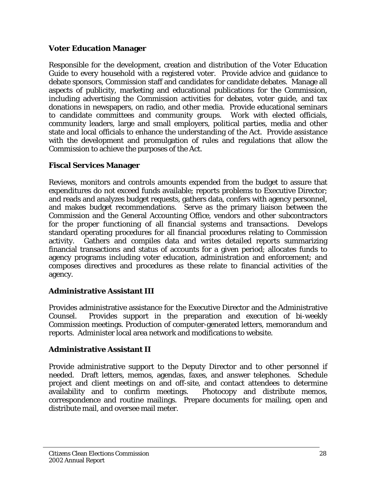#### **Voter Education Manager**

Responsible for the development, creation and distribution of the Voter Education Guide to every household with a registered voter. Provide advice and guidance to debate sponsors, Commission staff and candidates for candidate debates. Manage all aspects of publicity, marketing and educational publications for the Commission, including advertising the Commission activities for debates, voter guide, and tax donations in newspapers, on radio, and other media. Provide educational seminars to candidate committees and community groups. Work with elected officials, community leaders, large and small employers, political parties, media and other state and local officials to enhance the understanding of the Act. Provide assistance with the development and promulgation of rules and regulations that allow the Commission to achieve the purposes of the Act.

## **Fiscal Services Manager**

Reviews, monitors and controls amounts expended from the budget to assure that expenditures do not exceed funds available; reports problems to Executive Director; and reads and analyzes budget requests, gathers data, confers with agency personnel, and makes budget recommendations. Serve as the primary liaison between the Commission and the General Accounting Office, vendors and other subcontractors for the proper functioning of all financial systems and transactions. Develops standard operating procedures for all financial procedures relating to Commission activity. Gathers and compiles data and writes detailed reports summarizing financial transactions and status of accounts for a given period; allocates funds to agency programs including voter education, administration and enforcement; and composes directives and procedures as these relate to financial activities of the agency.

## **Administrative Assistant III**

Provides administrative assistance for the Executive Director and the Administrative Counsel. Provides support in the preparation and execution of bi-weekly Commission meetings. Production of computer-generated letters, memorandum and reports. Administer local area network and modifications to website.

## **Administrative Assistant II**

Provide administrative support to the Deputy Director and to other personnel if needed. Draft letters, memos, agendas, faxes, and answer telephones. Schedule project and client meetings on and off-site, and contact attendees to determine availability and to confirm meetings. Photocopy and distribute memos, correspondence and routine mailings. Prepare documents for mailing, open and distribute mail, and oversee mail meter.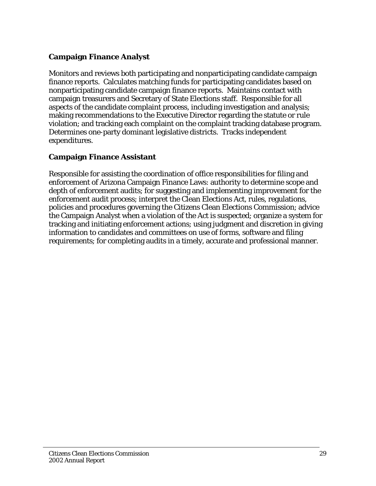# **Campaign Finance Analyst**

Monitors and reviews both participating and nonparticipating candidate campaign finance reports. Calculates matching funds for participating candidates based on nonparticipating candidate campaign finance reports. Maintains contact with campaign treasurers and Secretary of State Elections staff. Responsible for all aspects of the candidate complaint process, including investigation and analysis; making recommendations to the Executive Director regarding the statute or rule violation; and tracking each complaint on the complaint tracking database program. Determines one-party dominant legislative districts. Tracks independent expenditures.

# **Campaign Finance Assistant**

Responsible for assisting the coordination of office responsibilities for filing and enforcement of Arizona Campaign Finance Laws: authority to determine scope and depth of enforcement audits; for suggesting and implementing improvement for the enforcement audit process; interpret the Clean Elections Act, rules, regulations, policies and procedures governing the Citizens Clean Elections Commission; advice the Campaign Analyst when a violation of the Act is suspected; organize a system for tracking and initiating enforcement actions; using judgment and discretion in giving information to candidates and committees on use of forms, software and filing requirements; for completing audits in a timely, accurate and professional manner.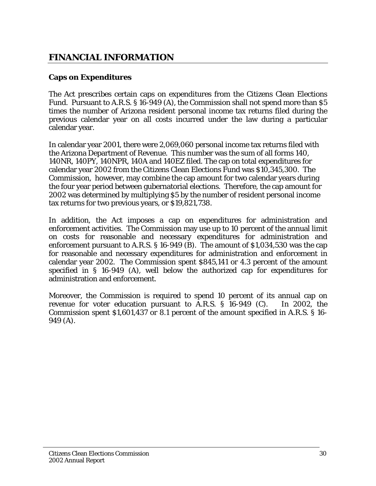# **FINANCIAL INFORMATION**

## **Caps on Expenditures**

The Act prescribes certain caps on expenditures from the Citizens Clean Elections Fund. Pursuant to A.R.S. § 16-949 (A), the Commission shall not spend more than \$5 times the number of Arizona resident personal income tax returns filed during the previous calendar year on all costs incurred under the law during a particular calendar year.

In calendar year 2001, there were 2,069,060 personal income tax returns filed with the Arizona Department of Revenue. This number was the sum of all forms 140, 140NR, 140PY, 140NPR, 140A and 140EZ filed. The cap on total expenditures for calendar year 2002 from the Citizens Clean Elections Fund was \$10,345,300. The Commission, however, may combine the cap amount for two calendar years during the four year period between gubernatorial elections. Therefore, the cap amount for 2002 was determined by multiplying \$5 by the number of resident personal income tax returns for two previous years, or \$19,821,738.

In addition, the Act imposes a cap on expenditures for administration and enforcement activities. The Commission may use up to 10 percent of the annual limit on costs for reasonable and necessary expenditures for administration and enforcement pursuant to A.R.S. § 16-949 (B). The amount of \$1,034,530 was the cap for reasonable and necessary expenditures for administration and enforcement in calendar year 2002. The Commission spent \$845,141 or 4.3 percent of the amount specified in § 16-949 (A), well below the authorized cap for expenditures for administration and enforcement.

Moreover, the Commission is required to spend 10 percent of its annual cap on revenue for voter education pursuant to A.R.S. § 16-949 (C). In 2002, the Commission spent \$1,601,437 or 8.1 percent of the amount specified in A.R.S. § 16- 949 (A).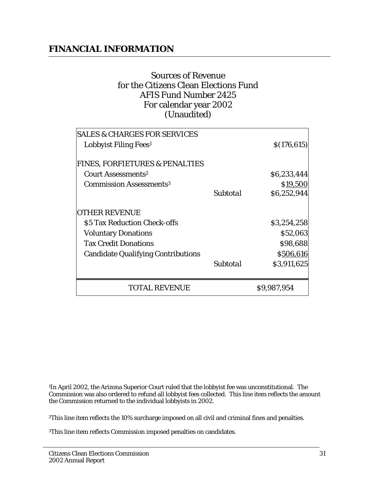# **FINANCIAL INFORMATION**

# Sources of Revenue for the Citizens Clean Elections Fund AFIS Fund Number 2425 For calendar year 2002 (Unaudited)

|          | \$9,987,954  |
|----------|--------------|
|          | \$3,911,625  |
|          | \$506,616    |
|          | \$98,688     |
|          | \$52,063     |
|          | \$3,254,258  |
|          |              |
| Subtotal | \$6,252,944  |
|          | \$19,500     |
|          | \$6,233,444  |
|          |              |
|          | \$(176, 615) |
|          |              |
|          | Subtotal     |

1In April 2002, the Arizona Superior Court ruled that the lobbyist fee was unconstitutional. The Commission was also ordered to refund all lobbyist fees collected. This line item reflects the amount the Commission returned to the individual lobbyists in 2002.

2This line item reflects the 10% surcharge imposed on all civil and criminal fines and penalties.

3This line item reflects Commission imposed penalties on candidates.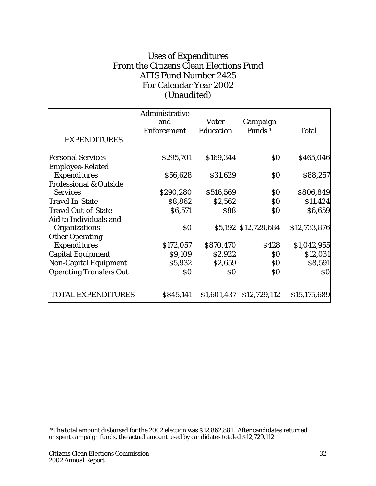# Uses of Expenditures From the Citizens Clean Elections Fund AFIS Fund Number 2425 For Calendar Year 2002 (Unaudited)

|                                   | Administrative<br>and                            |                   |                      |                   |
|-----------------------------------|--------------------------------------------------|-------------------|----------------------|-------------------|
|                                   |                                                  | <b>Voter</b>      | Campaign             |                   |
|                                   | <b>Enforcement</b>                               | <b>Education</b>  | Funds*               | <b>Total</b>      |
| <b>EXPENDITURES</b>               |                                                  |                   |                      |                   |
| <b>Personal Services</b>          | \$295,701                                        | \$169,344         | $\boldsymbol{S0}$    | \$465,046         |
| <b>Employee-Related</b>           |                                                  |                   |                      |                   |
| <b>Expenditures</b>               | \$56,628                                         | \$31,629          | $\boldsymbol{S0}$    | \$88,257          |
| <b>Professional &amp; Outside</b> |                                                  |                   |                      |                   |
| <b>Services</b>                   | \$290,280                                        | \$516,569         | \$0                  | \$806,849         |
| <b>Travel In-State</b>            | \$8,862                                          | \$2,562           | \$0                  | \$11,424          |
| <b>Travel Out-of-State</b>        | \$6,571                                          | \$88              | \$0                  | \$6,659           |
| Aid to Individuals and            |                                                  |                   |                      |                   |
| Organizations                     | $\boldsymbol{\mathsf{S}}\boldsymbol{\mathsf{0}}$ |                   | \$5,192 \$12,728,684 | \$12,733,876      |
| <b>Other Operating</b>            |                                                  |                   |                      |                   |
| <b>Expenditures</b>               | \$172,057                                        | \$870,470         | \$428                | \$1,042,955       |
| Capital Equipment                 | \$9,109                                          | \$2,922           | $\boldsymbol{S0}$    | \$12,031          |
| <b>Non-Capital Equipment</b>      | \$5,932                                          | \$2,659           | \$0                  | \$8,591           |
| <b>Operating Transfers Out</b>    | $\boldsymbol{S0}$                                | $\boldsymbol{S0}$ | $\boldsymbol{S0}$    | $\boldsymbol{S0}$ |
| <b>TOTAL EXPENDITURES</b>         | \$845,141                                        | \$1,601,437       | \$12,729,112         | \$15,175,689      |

 \*The total amount disbursed for the 2002 election was \$12,862,881. After candidates returned unspent campaign funds, the actual amount used by candidates totaled \$12,729,112